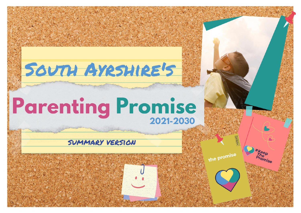## SOUTH AYRSHIRE'S

**South Ayrshire's Parenting Promise**

**2021-20**

# **Parenting Promise**

### SUMMARY VERSION

the promise

**\*Keep**<br>The<br>Promise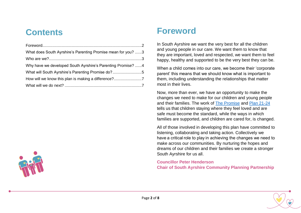## **Contents**

| What does South Ayrshire's Parenting Promise mean for you? 3 |  |
|--------------------------------------------------------------|--|
|                                                              |  |
| Why have we developed South Ayrshire's Parenting Promise? 4  |  |
| What will South Ayrshire's Parenting Promise do?5            |  |
|                                                              |  |
|                                                              |  |

<span id="page-1-0"></span>

## **Foreword**

In South Ayrshire we want the very best for all the children and young people in our care. We want them to know that they are important, loved and respected, we want them to feel happy, healthy and supported to be the very best they can be.

When a child comes into our care, we become their 'corporate parent' this means that we should know what is important to them, including understanding the relationships that matter most in their lives.

Now, more than ever, we have an opportunity to make the changes we need to make for our children and young people and their families. The work of [The Promise](https://www.carereview.scot/wp-content/uploads/2020/03/The-Promise_v7.pdf) and [Plan 21-24](https://thepromise.scot/assets/UPLOADS/DOCUMENTS/2021/03/Plan-21-24-Spread.pdf) tells us that children staying where they feel loved and are safe must become the standard, while the ways in which families are supported, and children are cared for, is changed.

All of those involved in developing this plan have committed to listening, collaborating and taking action. Collectively we have a critical role to play in achieving the changes we need to make across our communities. By nurturing the hopes and dreams of our children and their families we create a stronger South Ayrshire for us all.

**Councillor Peter Henderson Chair of South Ayrshire Community Planning Partnership**

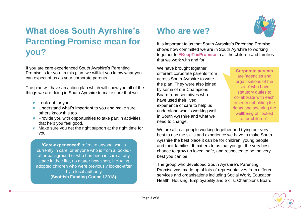## <span id="page-2-0"></span>**What does South Ayrshire's Parenting Promise mean for you?**

If you are care experienced South Ayrshire's Parenting Promise is for you. In this plan, we will let you know what you can expect of us as your corporate parents.

The plan will have an action plan which will show you all of the things we are doing in South Ayrshire to make sure that we:

- Look out for you
- **v** Understand what's important to you and make sure others know this too
- **•** Provide you with opportunities to take part in activities that help you feel good.
- Make sure you get the right support at the right time for you

**'Care-experienced'** refers to anyone who is currently in care, or anyone who is from a lookedafter background or who has been in care at any stage in their life, no matter how short, including adopted children who were previously looked-after by a local authority **(Scottish Funding Council 2018).**

## <span id="page-2-1"></span>**Who are we?**

It is important to us that South Ayrshire's Parenting Promise shows how committed we are in South Ayrshire to working together to **#KeepThePromise** to all the children and families that we work with and for.

We have brought together different corporate parents from across South Ayrshire to write the plan. They were also joined by some of our Champions Board representatives who have used their lived experience of care to help us understand what's working well in South Ayrshire and what we need to change.

**Corporate parents** are 'agencies and organisations of the state' who have statutory duties to collaborate with each other in upholding the rights and securing the wellbeing of 'looked after children'.

We are all real people working together and trying our very best to use the skills and experience we have to make South Ayrshire the best place it can be for children, young people and their families. It matters to us that you get the very best chance to grow up loved, safe, and respected to be the very best you can be.

The group who developed South Ayrshire's Parenting Promise was made up of lots of representatives from different services and organisations including Social Work, Education, Health, Housing, Employability and Skills, Champions Board,

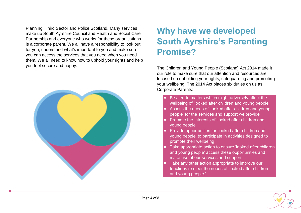Planning, Third Sector and Police Scotland. Many services make up South Ayrshire Council and Health and Social Care Partnership and everyone who works for these organisations is a corporate parent. We all have a responsibility to look out for you, understand what's important to you and make sure you can access the services that you need when you need them. We all need to know how to uphold your rights and help you feel secure and happy.

<span id="page-3-0"></span>

## **Why have we developed South Ayrshire's Parenting Promise?**

The Children and Young People (Scotland) Act 2014 made it our role to make sure that our attention and resources are focused on upholding your rights, safeguarding and promoting your wellbeing. The 2014 Act places six duties on us as Corporate Parents:

- Be alert to matters which might adversely affect the wellbeing of 'looked after children and young people'
- Assess the needs of 'looked after children and young people' for the services and support we provide
- Promote the interests of 'looked after children and young people'
- Provide opportunities for 'looked after children and young people' to participate in activities designed to promote their wellbeing
- Take appropriate action to ensure 'looked after children and young people' access these opportunities and make use of our services and support
- Take any other action appropriate to improve our functions to meet the needs of 'looked after children and young people.'

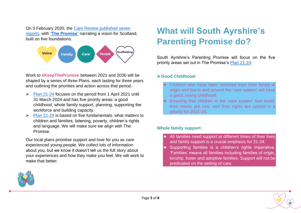On 5 February 2020, the [Care Review published seven](https://www.carereview.scot/conclusions/independent-care-review-reports/)  [reports,](https://www.carereview.scot/conclusions/independent-care-review-reports/) with **['The Promise'](https://www.carereview.scot/wp-content/uploads/2020/03/The-Promise_v7.pdf)** narrating a vision for Scotland, built on five foundations:



Work to **#KeepThePromise** between 2021 and 2030 will be shaped by a series of three Plans, each lasting for three years and outlining the priorities and action across that period.

- ➢ [Plan 21-24](https://thepromise.scot/assets/UPLOADS/DOCUMENTS/2021/03/Plan-21-24-Spread.pdf) focuses on the period from 1 April 2021 until 31 March 2024 and has five priority areas: a good childhood, whole family support, planning, supporting the workforce and building capacity.
- ➢ [Plan 21-24](https://thepromise.scot/assets/UPLOADS/DOCUMENTS/2021/03/Plan-21-24-Spread.pdf) is based on five fundamentals: what matters to children and families, listening, poverty, children's rights and language. We will make sure we align with The Promise.

Our local plans prioritise support and love for you as care experienced young people. We collect lots of information about you, but we know it doesn't tell us the full story about your experiences and how they make you feel. We will work to make that better.

## <span id="page-4-0"></span>**What will South Ayrshire's Parenting Promise do?**

South Ayrshire's Parenting Promise will focus on the five priority areas set out in The Promise's [Plan 21-24:](https://thepromise.scot/assets/UPLOADS/DOCUMENTS/2021/03/Plan-21-24-Spread.pdf)

#### **A Good Childhood:**

- Children who have been removed from their family of origin and live in and around the 'care system' will have a good, loving childhood.
- Ensuring that children in the 'care system' feel loved, their needs are met, and their rights are upheld is a priority for 2021-24.

#### **Whole family support:**

- All families need support at different times of their lives and family support is a crucial emphasis for 21-24.
- Supporting families is a children's rights imperative. 'Families' means all families including families of origin, kinship, foster and adoptive families. Support will not be predicated on the setting of care.



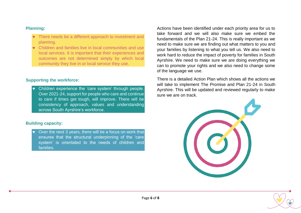#### **Planning:**

- **v** There needs be a different approach to investment and planning.
- Children and families live in local communities and use local services. It is important that their experiences and outcomes are not determined simply by which local community they live in or local service they use.

#### **Supporting the workforce:**

 Children experience the 'care system' through people. Over 2021-24, support for people who care and continue to care if times get tough, will improve. There will be consistency of approach, values and understanding across South Ayrshire's workforce.

#### **Building capacity:**

 Over the next 3 years, there will be a focus on work that ensures that the structural underpinning of the 'care system' is orientated to the needs of children and families.

Actions have been identified under each priority area for us to take forward and we will also make sure we embed the fundamentals of the Plan 21-24. This is really important as we need to make sure we are finding out what matters to you and your families by listening to what you tell us. We also need to work hard to reduce the impact of poverty for families in South Ayrshire. We need to make sure we are doing everything we can to promote your rights and we also need to change some of the language we use.

There is a detailed Action Plan which shows all the actions we will take to implement The Promise and Plan 21-24 in South Ayrshire. This will be updated and reviewed regularly to make sure we are on track.



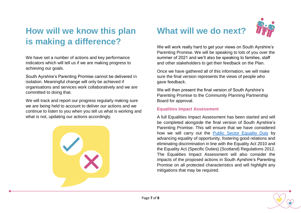## <span id="page-6-0"></span>**How will we know this plan is making a difference?**

We have set a number of actions and key performance indicators which will tell us if we are making progress to achieving our goals.

South Ayrshire's Parenting Promise cannot be delivered in isolation. Meaningful change will only be achieved if organisations and services work collaboratively and we are committed to doing that.

We will track and report our progress regularly making sure we are being held to account to deliver our actions and we continue to listen to you when you tell us what is working and what is not, updating our actions accordingly.

<span id="page-6-1"></span>

## **What will we do next?**



We will work really hard to get your views on South Ayrshire's Parenting Promise. We will be speaking to lots of you over the summer of 2021 and we'll also be speaking to families, staff and other stakeholders to get their feedback on the Plan.

Once we have gathered all of this information, we will make sure the final version represents the views of people who gave feedback.

We will then present the final version of South Ayrshire's Parenting Promise to the Community Planning Partnership Board for approval.

#### **Equalities Impact Assessment**

A full Equalities Impact Assessment has been started and will be completed alongside the final version of South Ayrshire's Parenting Promise. This will ensure that we have considered how we will carry out the [Public Sector Equality Duty](https://www.equalityhumanrights.com/en/publication-download/assessing-impact-and-public-sector-equality-duty-guide-public-authorities) by advancing equality of opportunity, fostering good relations and eliminating discrimination in line with the Equality Act 2010 and the Equality Act (Specific Duties) (Scotland) Regulations 2012. The Equalities Impact Assessment will also consider the impacts of the proposed actions in South Ayrshire's Parenting Promise on all protected characteristics and will highlight any mitigations that may be required.